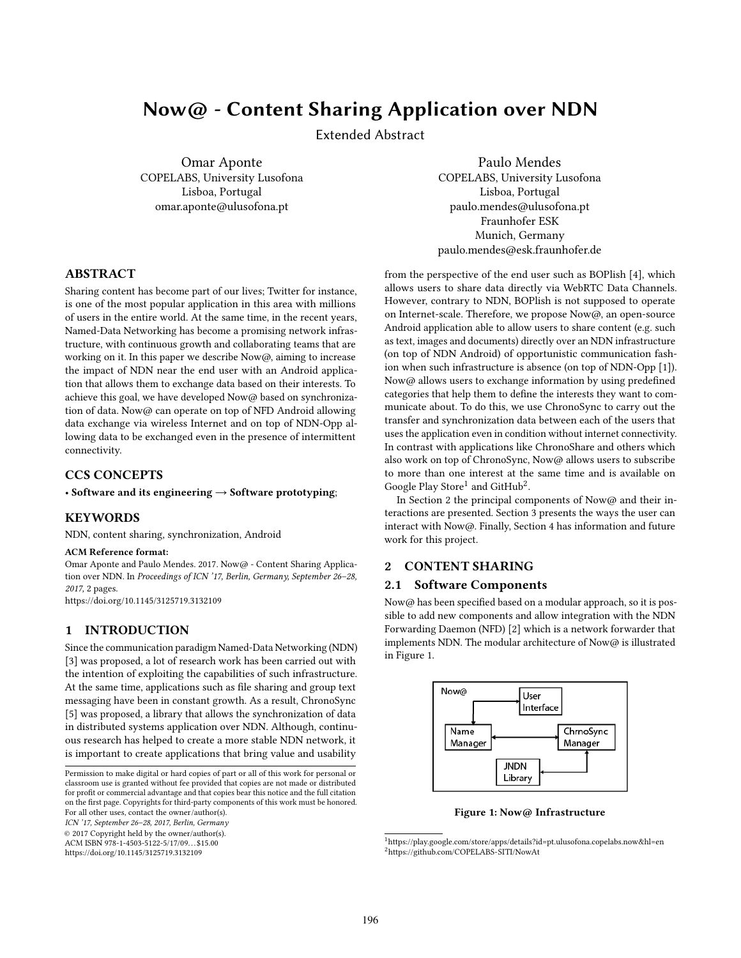# Now@ - Content Sharing Application over NDN

Extended Abstract

Omar Aponte COPELABS, University Lusofona Lisboa, Portugal omar.aponte@ulusofona.pt

Paulo Mendes COPELABS, University Lusofona Lisboa, Portugal paulo.mendes@ulusofona.pt Fraunhofer ESK Munich, Germany paulo.mendes@esk.fraunhofer.de

# ABSTRACT

Sharing content has become part of our lives; Twitter for instance, is one of the most popular application in this area with millions of users in the entire world. At the same time, in the recent years, Named-Data Networking has become a promising network infrastructure, with continuous growth and collaborating teams that are working on it. In this paper we describe Now@, aiming to increase the impact of NDN near the end user with an Android application that allows them to exchange data based on their interests. To achieve this goal, we have developed Now@ based on synchronization of data. Now@ can operate on top of NFD Android allowing data exchange via wireless Internet and on top of NDN-Opp allowing data to be exchanged even in the presence of intermittent connectivity.

## CCS CONCEPTS

• Software and its engineering → Software prototyping;

## **KEYWORDS**

NDN, content sharing, synchronization, Android

#### ACM Reference format:

Omar Aponte and Paulo Mendes. 2017. Now@ - Content Sharing Application over NDN. In Proceedings of ICN '17, Berlin, Germany, September 26-28, 2017, [2](#page-1-0) pages.

<https://doi.org/10.1145/3125719.3132109>

# 1 INTRODUCTION

Since the communication paradigm Named-Data Networking (NDN) [\[3\]](#page-1-1) was proposed, a lot of research work has been carried out with the intention of exploiting the capabilities of such infrastructure. At the same time, applications such as file sharing and group text messaging have been in constant growth. As a result, ChronoSync [\[5\]](#page-1-2) was proposed, a library that allows the synchronization of data in distributed systems application over NDN. Although, continuous research has helped to create a more stable NDN network, it is important to create applications that bring value and usability

ICN '17, September 26–28, 2017, Berlin, Germany

© 2017 Copyright held by the owner/author(s).

ACM ISBN 978-1-4503-5122-5/17/09...\$15.00 <https://doi.org/10.1145/3125719.3132109>

from the perspective of the end user such as BOPlish [\[4\]](#page-1-3), which allows users to share data directly via WebRTC Data Channels. However, contrary to NDN, BOPlish is not supposed to operate on Internet-scale. Therefore, we propose Now@, an open-source Android application able to allow users to share content (e.g. such as text, images and documents) directly over an NDN infrastructure (on top of NDN Android) of opportunistic communication fashion when such infrastructure is absence (on top of NDN-Opp [\[1\]](#page-1-4)). Now@ allows users to exchange information by using predefined categories that help them to define the interests they want to communicate about. To do this, we use ChronoSync to carry out the transfer and synchronization data between each of the users that uses the application even in condition without internet connectivity. In contrast with applications like ChronoShare and others which also work on top of ChronoSync, Now@ allows users to subscribe to more than one interest at the same time and is available on Google Play Store<sup>[1](#page-0-0)</sup> and GitHub<sup>[2](#page-0-1)</sup>.

In Section [2](#page-0-2) the principal components of Now@ and their interactions are presented. Section [3](#page-1-5) presents the ways the user can interact with Now@. Finally, Section [4](#page-1-6) has information and future work for this project.

## <span id="page-0-2"></span>2 CONTENT SHARING

#### 2.1 Software Components

Now@ has been specified based on a modular approach, so it is possible to add new components and allow integration with the NDN Forwarding Daemon (NFD) [\[2\]](#page-1-7) which is a network forwarder that implements NDN. The modular architecture of Now $@$  is illustrated in Figure [1.](#page-0-3)

<span id="page-0-3"></span>

Figure 1: Now@ Infrastructure

Permission to make digital or hard copies of part or all of this work for personal or classroom use is granted without fee provided that copies are not made or distributed for profit or commercial advantage and that copies bear this notice and the full citation on the first page. Copyrights for third-party components of this work must be honored. For all other uses, contact the owner/author(s).

<span id="page-0-1"></span><span id="page-0-0"></span> $^1$ <https://play.google.com/store/apps/details?id=pt.ulusofona.copelabs.now&hl=en> <sup>2</sup><https://github.com/COPELABS-SITI/NowAt>